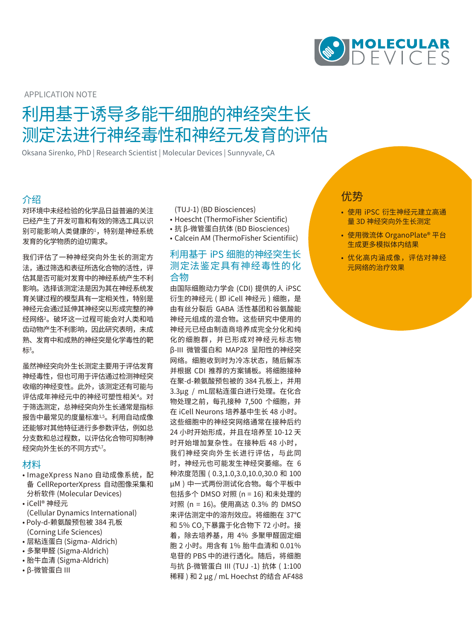

APPLICATION NOTE

# 利用基于诱导多能干细胞的神经突生长 测定法进行神经毒性和神经元发育的评估

Oksana Sirenko, PhD | Research Scientist | Molecular Devices | Sunnyvale, CA

## 介绍

对环境中未经检验的化学品日益普遍的关注 已经产生了开发可靠和有效的筛选工具以识 别可能影响人类健康的1,特别是神经系统 发育的化学物质的迫切需求。

我们评估了一种神经突向外生长的测定方 法,通过筛选和表征所选化合物的活性,评 估其是否可能对发育中的神经系统产生不利 影响。选择该测定法是因为其在神经系统发 育关键过程的模型具有一定相关性,特别是 神经元会通过延伸其神经突以形成完整的神 经网络2。破坏这一过程可能会对人类和啮 齿动物产生不利影响,因此研究表明,未成 熟、发育中和成熟的神经突是化学毒性的靶 标。

虽然神经突向外生长测定主要用于评估发育 神经毒性,但也可用于评估通过检测神经突 收缩的神经变性。此外,该测定还有可能与 评估成年神经元中的神经可塑性相关4。对 于筛选测定,总神经突向外生长通常是指标 报告中最常见的度量标准1,5。利用自动成像 还能够对其他特征进行多参数评估,例如总 分支数和总过程数,以评估化合物可抑制神 经突向外生长的不同方式6,7。

#### 材料

- ImageXpress Nano 自动成像系统,配 备 CellReporterXpress 自动图像采集和 分析软件 (Molecular Devices)
- iCell® 神经元 (Cellular Dynamics International)
- Poly-d-赖氨酸预包被 384 孔板 (Corning Life Sciences)
- 层粘连蛋白 (Sigma- Aldrich)
- 多聚甲醛 (Sigma-Aldrich)
- 胎牛血清 (Sigma-Aldrich)
- β-微管蛋白 III
- (TUJ-1) (BD Biosciences)
- Hoescht (ThermoFisher Scientific)
- 抗 β-微管蛋白抗体 (BD Biosciences)
- Calcein AM (ThermoFisher Scientifiic)

## 利用基于 iPS 细胞的神经突生长 测定法鉴定具有神经毒性的化 合物

由国际细胞动力学会 (CDI) 提供的人 iPSC 衍生的神经元 ( 即 iCell 神经元 ) 细胞,是 由有丝分裂后 GABA 活性基团和谷氨酸能 神经元组成的混合物。这些研究中使用的 神经元已经由制造商培养成完全分化和纯 化的细胞群,并已形成对神经元标志物 β-III 微管蛋白和 MAP28 呈阳性的神经突 网络。细胞收到时为冷冻状态,随后解冻 并根据 CDI 推荐的方案铺板。将细胞接种 在聚-d-赖氨酸预包被的 384 孔板上,并用 3.3μg / mL层粘连蛋白进行处理。在化合 物处理之前,每孔接种 7,500 个细胞,并 在 iCell Neurons 培养基中生长 48 小时。 这些细胞中的神经突网络通常在接种后约 24 小时开始形成,并且在培养至 10-12 天 时开始增加复杂性。在接种后 48 小时, 我们神经突向外生长进行评估,与此同 时,神经元也可能发生神经突萎缩。在 6 种浓度范围 ( 0.3,1.0,3.0,10.0,30.0 和 100 μM ) 中一式两份测试化合物。每个平板中 包括多个 DMSO 对照 (n = 16) 和未处理的 对照 (n = 16)。使用高达 0.3% 的 DMSO 来评估测定中的溶剂效应。将细胞在 37℃ 和 5% CO<sub>2</sub>卜暴露于化合物卜 72 小时。接 着,除去培养基,用 4% 多聚甲醛固定细 胞 2 小时。用含有 1% 胎牛血清和 0.01% 皂苷的 PBS 中的进行透化。随后,将细胞 与抗 β-微管蛋白 III (TUJ -1) 抗体 ( 1:100 稀释 ) 和 2 μg / mL Hoechst 的结合 AF488

## 优势

- 使用 iPSC 衍生神经元建立高通 量 3D 神经突向外生长测定
- 使用微流体 OrganoPlate® 平台 生成更多模拟体内结果
- 优化高内涵成像,评估对神经 元网络的治疗效果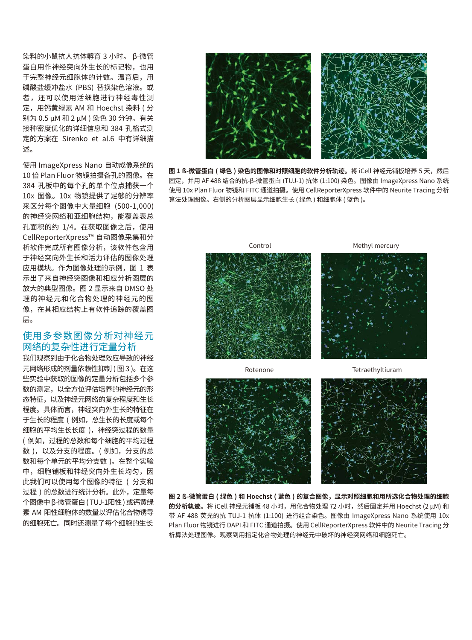染料的小鼠抗人抗体孵育 3 小时。 β-微管 蛋白用作神经突向外生长的标记物,也用 于完整神经元细胞体的计数。温育后,用 磷酸盐缓冲盐水 (PBS) 替换染色溶液。或 者,还可以使用活细胞进行神经毒性测 定,用钙黄绿素 AM 和 Hoechst 染料 ( 分 别为 0.5 μM 和 2 μM ) 染色 30 分钟。有关 接种密度优化的详细信息和 384 孔格式测 定的方案在 Sirenko et al.6 中有详细描 述。

使用 ImageXpress Nano 自动成像系统的 10 倍 Plan Fluor 物镜拍摄各孔的图像。在 384 孔板中的每个孔的单个位点捕获一个 10x 图像。10x 物镜提供了足够的分辨率 来区分每个图像中大量细胞 (500-1,000) 的神经突网络和亚细胞结构,能覆盖表总 孔面积的约 1/4。在获取图像之后,使用 CellReporterXpress™ 自动图像采集和分 析软件完成所有图像分析,该软件包含用 于神经突向外生长和活力评估的图像处理 应用模块。作为图像处理的示例,图 1 表 示出了来自神经突图像和相应分析图层的 放大的典型图像。图 2 显示来自 DMSO 处 理的神经元和化合物处理的神经元的图 像,在其相应结构上有软件追踪的覆盖图 层。

## 使用多参数图像分析对神经元 网络的复杂性进行定量分析

我们观察到由于化合物处理效应导致的神经 元网络形成的剂量依赖性抑制 ( 图 3 )。在这 些实验中获取的图像的定量分析包括多个参 数的测定,以全方位评估培养的神经元的形 态特征,以及神经元网络的复杂程度和生长 程度。具体而言,神经突向外生长的特征在 于生长的程度 ( 例如,总生长的长度或每个 细胞的平均生长长度 ),神经突过程的数量 ( 例如,过程的总数和每个细胞的平均过程 数),以及分支的程度。(例如,分支的总 数和每个单元的平均分支数 )。在整个实验 中,细胞铺板和神经突向外生长均匀,因 此我们可以使用每个图像的特征 ( 分支和 过程 ) 的总数进行统计分析。此外,定量每 个图像中 β-微管蛋白 ( TUJ-1阳性 ) 或钙黄绿 素 AM 阳性细胞体的数量以评估化合物诱导 的细胞死亡。同时还测量了每个细胞的生长



**图 1 ß-微管蛋白 ( 绿色 ) 染色的图像和对照细胞的软件分析轨迹。**将 iCell 神经元铺板培养 5 天,然后 固定,并用 AF 488 结合的抗-β-微管蛋白 (TUJ-1) 抗体 (1:100) 染色。图像由 ImageXpress Nano 系统 使用 10x Plan Fluor 物镜和 FITC 通道拍摄。使用 CellReporterXpress 软件中的 Neurite Tracing 分析 算法处理图像。右侧的分析图层显示细胞生长 ( 绿色 ) 和细胞体 ( 蓝色 )。



**图 2 ß-微管蛋白 ( 绿色 ) 和 Hoechst ( 蓝色 ) 的复合图像,显示对照细胞和用所选化合物处理的细胞 的分析轨迹。**将 iCell 神经元铺板 48 小时,用化合物处理 72 小时,然后固定并用 Hoechst (2 μM) 和 带 AF 488 荧光的抗 TUJ-1 抗体 (1:100) 进行组合染色。图像由 ImageXpress Nano 系统使用 10x Plan Fluor 物镜进行 DAPI 和 FITC 通道拍摄。使用 CellReporterXpress 软件中的 Neurite Tracing 分 析算法处理图像。观察到用指定化合物处理的神经元中破坏的神经突网络和细胞死亡。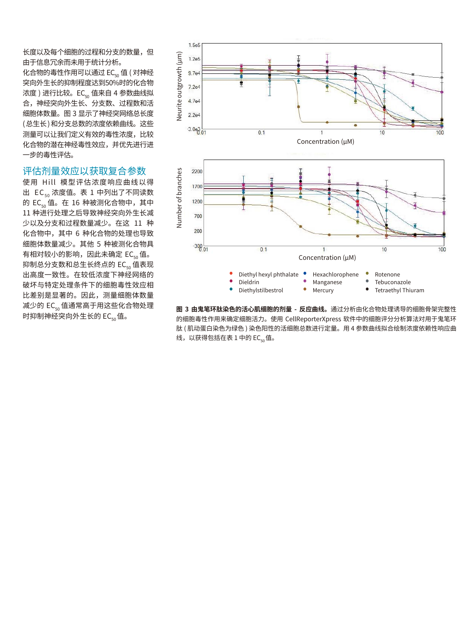长度以及每个细胞的过程和分支的数量,但 由于信息冗余而未用于统计分析。

化合物的毒性作用可以通过 EC<sub>50</sub> 值 ( 对神经 突向外生长的抑制程度达到50%时的化合物 浓度 ) 进行比较。EC<sub>50</sub> 值来自 4 参数曲线拟 合,神经突向外生长、分支数、过程数和活 细胞体数量。图 3 显示了神经突网络总长度 ( 总生长 ) 和分支总数的浓度依赖曲线。这些 测量可以让我们定义有效的毒性浓度,比较 化合物的潜在神经毒性效应,并优先进行进 一步的毒性评估。

### 评估剂量效应以获取复合参数

使用 Hill 模型评估浓度响应曲线以得 出  $EC_{50}$  浓度值。表 1 中列出了不同读数 的 EC<sub>50</sub> 值。在 16 种被测化合物中, 其中 11 种进行处理之后导致神经突向外生长减 少以及分支和过程数量减少。在这 11 种 化合物中,其中 6 种化合物的处理也导致 细胞体数量减少。其他 5 种被测化合物具 有相对较小的影响,因此未确定 EC<sub>50</sub> 值。 抑制总分支数和总生长终点的 EC<sub>50</sub> 值表现 出高度一致性。在较低浓度下神经网络的 破坏与特定处理条件下的细胞毒性效应相 比差别是显著的。因此,测量细胞体数量 减少的 EC<sub>50</sub> 值通常高于用这些化合物处理 时抑制神经突向外生长的 EC<sub>50</sub>值。



**图 3 由鬼笔环肽染色的活心肌细胞的剂量 - 反应曲线。**通过分析由化合物处理诱导的细胞骨架完整性 的细胞毒性作用来确定细胞活力。使用 CellReporterXpress 软件中的细胞评分分析算法对用于鬼笔环 肽 ( 肌动蛋白染色为绿色 ) 染色阳性的活细胞总数进行定量。用 4 参数曲线拟合绘制浓度依赖性响应曲 线, 以获得包括在表 1 中的 EC. 值。